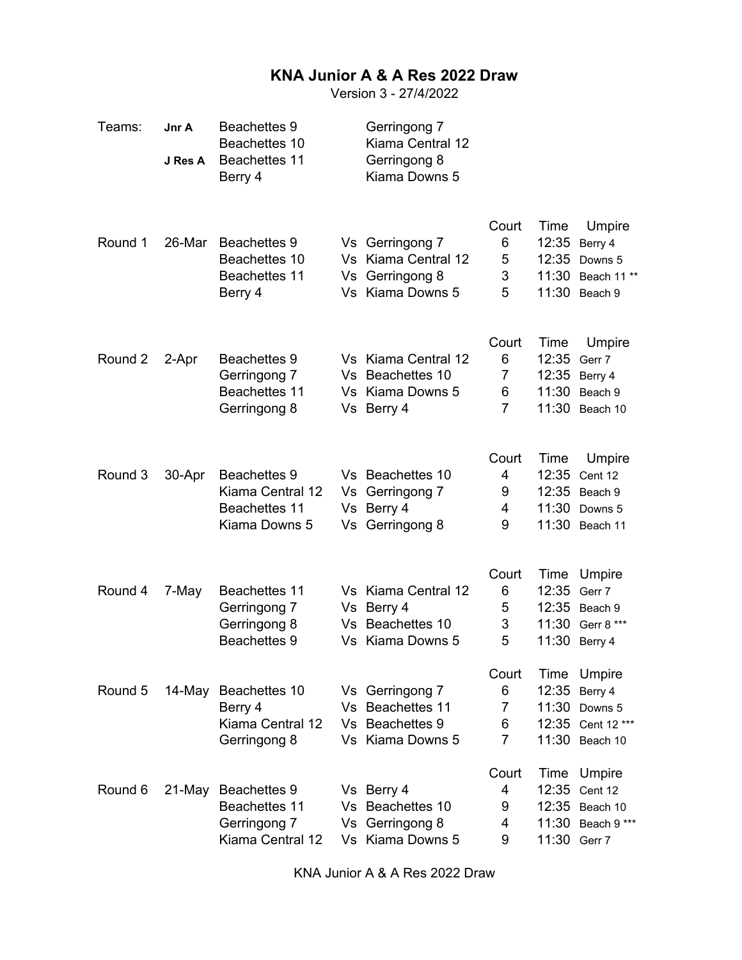## **KNA Junior A & A Res 2022 Draw**

Version 3 - 27/4/2022

| Teams:  | Jnr A<br>J Res A | <b>Beachettes 9</b><br>Beachettes 10<br><b>Beachettes 11</b><br>Berry 4          |    | Gerringong 7<br>Kiama Central 12<br>Gerringong 8<br>Kiama Downs 5          |                                        |                                                 |                                                              |
|---------|------------------|----------------------------------------------------------------------------------|----|----------------------------------------------------------------------------|----------------------------------------|-------------------------------------------------|--------------------------------------------------------------|
| Round 1 | 26-Mar           | <b>Beachettes 9</b><br>Beachettes 10<br>Beachettes 11<br>Berry 4                 | Vs | Vs Gerringong 7<br>Vs Kiama Central 12<br>Gerringong 8<br>Vs Kiama Downs 5 | Court<br>6<br>5<br>3<br>5              | Time<br>12:35<br>12:35<br>11:30<br>11:30        | Umpire<br>Berry 4<br>Downs 5<br>Beach 11**<br>Beach 9        |
| Round 2 | 2-Apr            | <b>Beachettes 9</b><br>Gerringong 7<br>Beachettes 11<br>Gerringong 8             |    | Vs Kiama Central 12<br>Vs Beachettes 10<br>Vs Kiama Downs 5<br>Vs Berry 4  | Court<br>6<br>7<br>6<br>7              | Time<br>12:35 Gerr 7<br>12:35<br>11:30<br>11:30 | Umpire<br>Berry 4<br>Beach 9<br>Beach 10                     |
| Round 3 | 30-Apr           | <b>Beachettes 9</b><br>Kiama Central 12<br><b>Beachettes 11</b><br>Kiama Downs 5 |    | Vs Beachettes 10<br>Vs Gerringong 7<br>Vs Berry 4<br>Vs Gerringong 8       | Court<br>4<br>9<br>4<br>9              | Time<br>12:35<br>12:35<br>11:30<br>11:30        | Umpire<br>Cent 12<br>Beach 9<br>Downs 5<br>Beach 11          |
| Round 4 | 7-May            | <b>Beachettes 11</b><br>Gerringong 7<br>Gerringong 8<br><b>Beachettes 9</b>      |    | Vs Kiama Central 12<br>Vs Berry 4<br>Vs Beachettes 10<br>Vs Kiama Downs 5  | Court<br>6<br>5<br>3<br>5              | Time<br>12:35<br>12:35<br>11:30<br>11:30        | Umpire<br>Gerr 7<br>Beach 9<br>Gerr 8 ***<br>Berry 4         |
| Round 5 |                  | 14-May Beachettes 10<br>Berry 4<br>Kiama Central 12<br>Gerringong 8              |    | Vs Gerringong 7<br>Vs Beachettes 11<br>Vs Beachettes 9<br>Vs Kiama Downs 5 | Court<br>6<br>7<br>6<br>$\overline{7}$ | Time<br>12:35<br>11:30<br>11:30                 | Umpire<br>Berry 4<br>Downs 5<br>12:35 Cent 12***<br>Beach 10 |
| Round 6 | 21-May           | <b>Beachettes 9</b><br>Beachettes 11<br>Gerringong 7<br>Kiama Central 12         |    | Vs Berry 4<br>Vs Beachettes 10<br>Vs Gerringong 8<br>Vs Kiama Downs 5      | Court<br>4<br>9<br>4<br>9              | 12:35<br>12:35<br>11:30<br>11:30 Gerr 7         | Time Umpire<br>Cent 12<br>Beach 10<br>Beach 9 ***            |

KNA Junior A & A Res 2022 Draw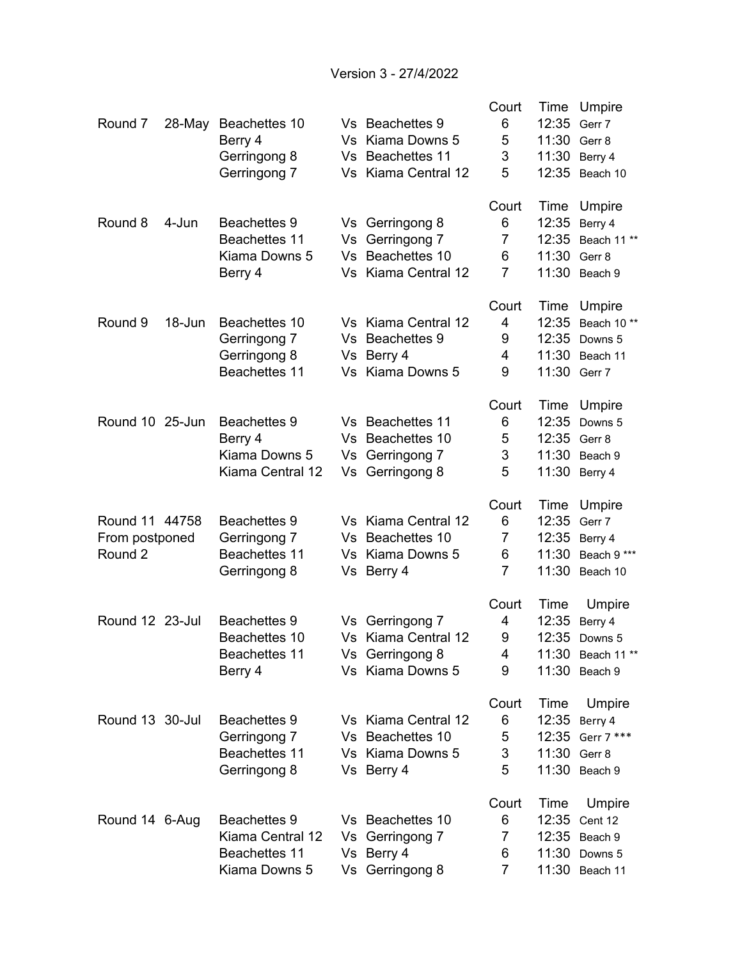Version 3 - 27/4/2022

|                 |        |                      |     |                      | Court          | Time  | Umpire           |
|-----------------|--------|----------------------|-----|----------------------|----------------|-------|------------------|
| Round 7         | 28-May | Beachettes 10        |     | Vs Beachettes 9      | 6              | 12:35 | Gerr 7           |
|                 |        | Berry 4              | Vs  | Kiama Downs 5        | 5              | 11:30 | Gerr 8           |
|                 |        | Gerringong 8         | Vs  | <b>Beachettes 11</b> | 3              | 11:30 | Berry 4          |
|                 |        | Gerringong 7         |     | Vs Kiama Central 12  | 5              | 12:35 | Beach 10         |
|                 |        |                      |     |                      |                |       |                  |
|                 |        |                      |     |                      | Court          | Time  | Umpire           |
| Round 8         | 4-Jun  | <b>Beachettes 9</b>  |     | Vs Gerringong 8      | 6              | 12:35 | Berry 4          |
|                 |        | <b>Beachettes 11</b> |     | Vs Gerringong 7      | 7              | 12:35 | Beach 11**       |
|                 |        | Kiama Downs 5        | Vs  | Beachettes 10        | 6              | 11:30 | Gerr 8           |
|                 |        | Berry 4              |     | Vs Kiama Central 12  | $\overline{7}$ | 11:30 | Beach 9          |
|                 |        |                      |     |                      |                |       |                  |
|                 |        |                      |     |                      | Court          | Time  | Umpire           |
| Round 9         | 18-Jun | Beachettes 10        |     | Vs Kiama Central 12  | 4              | 12:35 | Beach 10**       |
|                 |        | Gerringong 7         | Vs. | <b>Beachettes 9</b>  | 9              | 12:35 | Downs 5          |
|                 |        | Gerringong 8         |     | Vs Berry 4           | 4              | 11:30 | Beach 11         |
|                 |        | Beachettes 11        |     | Vs Kiama Downs 5     | 9              | 11:30 | Gerr 7           |
|                 |        |                      |     |                      |                |       |                  |
|                 |        |                      |     |                      | Court          | Time  | Umpire           |
| Round 10 25-Jun |        | <b>Beachettes 9</b>  |     | Vs Beachettes 11     | 6              | 12:35 | Downs 5          |
|                 |        | Berry 4              |     | Vs Beachettes 10     | 5              | 12:35 | Gerr 8           |
|                 |        | Kiama Downs 5        |     | Vs Gerringong 7      | 3              | 11:30 | Beach 9          |
|                 |        | Kiama Central 12     |     | Vs Gerringong 8      | 5              |       | 11:30 Berry 4    |
|                 |        |                      |     |                      |                |       |                  |
|                 |        |                      |     |                      | Court          | Time  | Umpire           |
| Round 11 44758  |        | <b>Beachettes 9</b>  |     | Vs Kiama Central 12  | 6              | 12:35 | Gerr 7           |
| From postponed  |        | Gerringong 7         |     | Vs Beachettes 10     | 7              | 12:35 | Berry 4          |
| Round 2         |        | Beachettes 11        | Vs  | Kiama Downs 5        | 6              | 11:30 | Beach 9 ***      |
|                 |        | Gerringong 8         |     | Vs Berry 4           | $\overline{7}$ | 11:30 | Beach 10         |
|                 |        |                      |     |                      |                |       |                  |
|                 |        |                      |     |                      | Court          | Time  | Umpire           |
| Round 12 23-Jul |        | <b>Beachettes 9</b>  |     | Vs Gerringong 7      | 4              | 12:35 | Berry 4          |
|                 |        | Beachettes 10        |     | Vs Kiama Central 12  | 9              | 12:35 | Downs 5          |
|                 |        | Beachettes 11        |     | Vs Gerringong 8      | 4              |       | 11:30 Beach 11** |
|                 |        | Berry 4              |     | Vs Kiama Downs 5     | 9              |       | 11:30 Beach 9    |
|                 |        |                      |     |                      |                |       |                  |
|                 |        |                      |     |                      | Court          | Time  | Umpire           |
| Round 13 30-Jul |        | <b>Beachettes 9</b>  |     | Vs Kiama Central 12  | 6              | 12:35 | Berry 4          |
|                 |        | Gerringong 7         |     | Vs Beachettes 10     | 5              | 12:35 | Gerr 7 ***       |
|                 |        | Beachettes 11        |     | Vs Kiama Downs 5     | 3              | 11:30 | Gerr 8           |
|                 |        | Gerringong 8         |     | Vs Berry 4           | 5              |       | 11:30 Beach 9    |
|                 |        |                      |     |                      |                |       |                  |
|                 |        |                      |     |                      | Court          | Time  | Umpire           |
| Round 14 6-Aug  |        | <b>Beachettes 9</b>  |     | Vs Beachettes 10     | 6              | 12:35 | Cent 12          |
|                 |        | Kiama Central 12     |     | Vs Gerringong 7      | 7              | 12:35 | Beach 9          |
|                 |        | <b>Beachettes 11</b> |     | Vs Berry 4           | 6              | 11:30 | Downs 5          |
|                 |        | Kiama Downs 5        |     | Vs Gerringong 8      | $\overline{7}$ |       | 11:30 Beach 11   |
|                 |        |                      |     |                      |                |       |                  |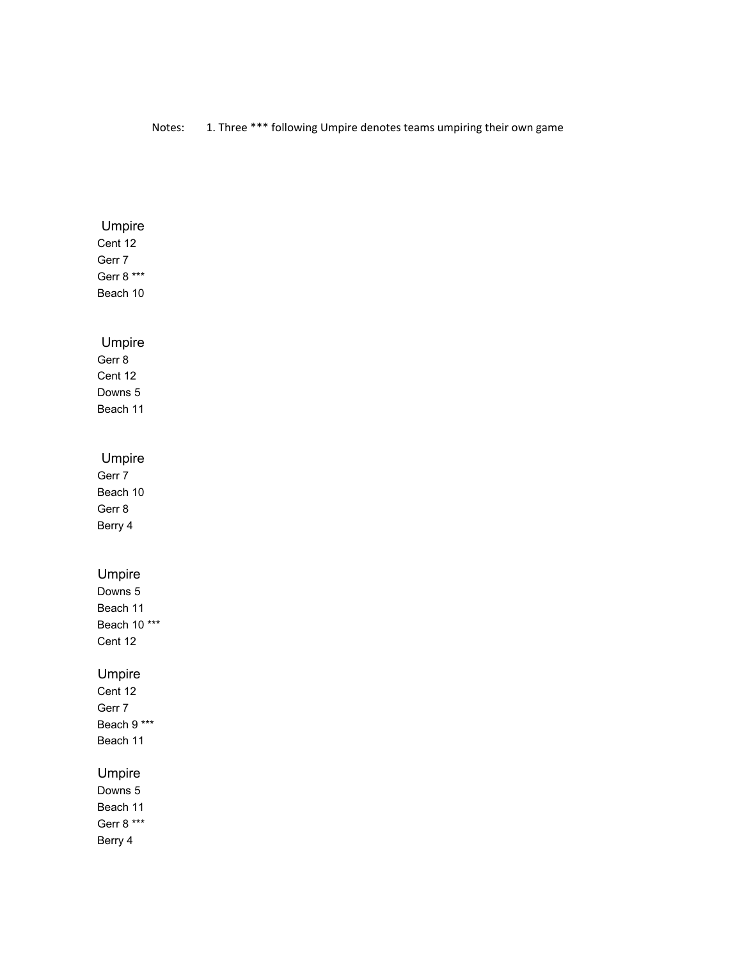## Notes: 1. Three \*\*\* following Umpire denotes teams umpiring their own game

| Umpire                |  |  |
|-----------------------|--|--|
| Cent 12               |  |  |
| Gerr 7                |  |  |
| Gerr 8 ***            |  |  |
| Beach 10              |  |  |
|                       |  |  |
|                       |  |  |
| Umpire                |  |  |
| Gerr 8                |  |  |
| Cent 12               |  |  |
| Downs 5               |  |  |
| Beach 11              |  |  |
|                       |  |  |
| Umpire                |  |  |
| Gerr 7                |  |  |
| Beach 10              |  |  |
| Gerr 8                |  |  |
| Berry 4               |  |  |
|                       |  |  |
|                       |  |  |
|                       |  |  |
| Umpire                |  |  |
| Downs 5               |  |  |
| Beach 11              |  |  |
| Beach 10 ***          |  |  |
| Cent 12               |  |  |
|                       |  |  |
| Umpire                |  |  |
| Cent 12               |  |  |
| Gerr 7                |  |  |
| Beach 9 ***           |  |  |
| Beach 11              |  |  |
|                       |  |  |
| Umpire                |  |  |
| Downs 5<br>Beach 11   |  |  |
|                       |  |  |
| Gerr 8 ***<br>Berry 4 |  |  |